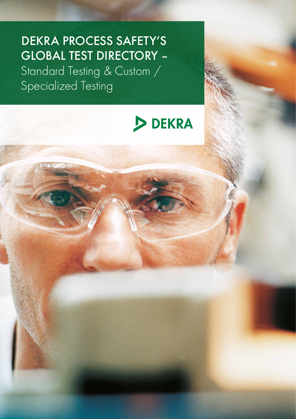# DEKRA PROCESS SAFETY'S GLOBAL TEST DIRECTORY –

Standard Testing & Custom / Specialized Testing

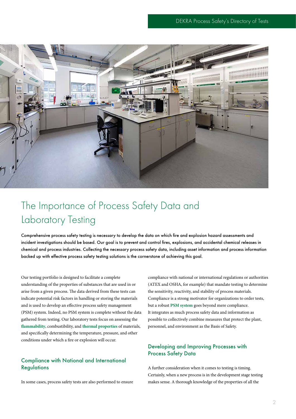

## The Importance of Process Safety Data and Laboratory Testing

Comprehensive process safety testing is necessary to develop the data on which fire and explosion hazard assessments and incident investigations should be based. Our goal is to prevent and control fires, explosions, and accidental chemical releases in chemical and process industries. Collecting the necessary process safety data, including asset information and process information backed up with effective process safety testing solutions is the cornerstone of achieving this goal.

Our testing portfolio is designed to facilitate a complete understanding of the properties of substances that are used in or arise from a given process. The data derived from these tests can indicate potential risk factors in handling or storing the materials and is used to develop an effective process safety management (PSM) system. Indeed, no PSM system is complete without the data gathered from testing. Our laboratory tests focus on assessing the **[flammability](http://www.dekra-process-safety.co.uk/laboratory-testing/flammability-testing)**, combustibility, and **[thermal properties](http://www.dekra-process-safety.co.uk/laboratory-testing/thermal-instability)** of materials, and specifically determining the temperature, pressure, and other conditions under which a fire or explosion will occur.

#### Compliance with National and International **Regulations**

In some cases, process safety tests are also performed to ensure

compliance with national or international regulations or authorities (ATEX and OSHA, for example) that mandate testing to determine the sensitivity, reactivity, and stability of process materials. Compliance is a strong motivator for organizations to order tests, but a robust **[PSM](http://www.dekra-process-safety.co.uk/process-safety-management) system** goes beyond mere compliance. It integrates as much process safety data and information as possible to collectively combine measures that protect the plant, personnel, and environment as the Basis of Safety.

#### Developing and Improving Processes with Process Safety Data

A further consideration when it comes to testing is timing. Certainly, when a new process is in the development stage testing makes sense. A thorough knowledge of the properties of all the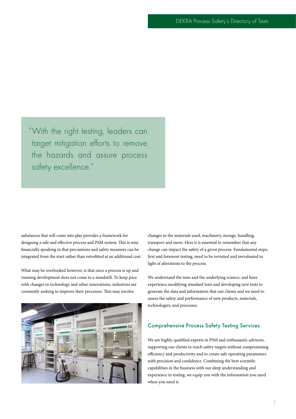"With the right testing, leaders can target mitigation efforts to remove the hazards and assure process safety excellence."

substances that will come into play provides a framework for designing a safe and effective process and PSM system. This is wise financially speaking in that precautions and safety measures can be integrated from the start rather than retrofitted at an additional cost.

What may be overlooked however, is that once a process is up and running development does not come to a standstill. To keep pace with changes in technology and other innovations, industries are constantly seeking to improve their processes. This may involve



changes in the materials used, machinery, storage, handling, transport and more. Here it is essential to remember that any change can impact the safety of a given process. Fundamental steps, first and foremost testing, need to be revisited and reevaluated in light of alterations to the process.

We understand the tests and the underlying science, and have experience modifying standard tests and developing new tests to generate the data and information that our clients and we need to assess the safety and performance of new products, materials, technologies, and processes.

#### Comprehensive Process Safety Testing Services

We are highly-qualified experts in PSM and enthusiastic advisors, supporting our clients to reach safety targets without compromising efficiency and productivity and to create safe operating parameters with precision and confidence. Combining the best scientific capabilities in the business with our deep understanding and experience in testing, we equip you with the information you need when you need it.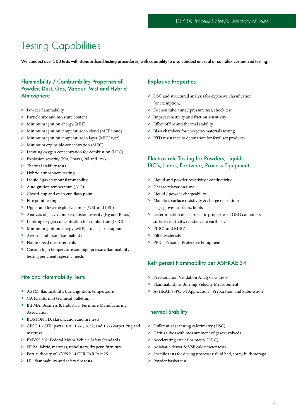### Testing Capabilities

We conduct over 300 tests with standardized testing procedures, with capability to also conduct unusual or complex customized testing.

#### Flammability / Combustibility Properties of Powder, Dust, Gas, Vapour, Mist and Hybrid Atmosphere

- > Powder flammability
- > Particle size and moisture content
- > Minimum ignition energy (MIE)
- > Minimum ignition temperature in cloud (MIT cloud)
- > Minimum ignition temperature in layer (MIT layer)
- > Minimum explosible concentration (MEC)
- > Limiting oxygen concentration for combustion (LOC)
- > Explosion severity (Kst, Pmax), 20l and 1m3
- > Thermal stability tests
- > Hybrid atmosphere testing
- > Liquid / gas / vapour flammability
- > Autoignition temperature (AIT)
- > Closed-cup and open cup flash point
- > Fire point testing
- > Upper and lower explosive limits (UEL and LEL)
- > Analysis of gas / vapour explosion severity (Kg and Pmax)
- > Limiting oxygen concentration for combustion (LOC)
- > Minimum ignition energy (MIE) of a gas or vapour
- > Aerosol and foam flammability
- > Flame speed measurements
- > Custom high temperature and high pressure flammability testing per clients specific needs

#### Fire and Flammability Tests

- > ASTM: flammability, burn, ignition, temperature
- > CA (California) technical bulletins
- > BIFMA: Business & Industrial Furniture Manufacturing Association
- > BOSTON FD: classification and fire tests
- > CPSC 16 CFR: parts 1630, 1631, 1632, and 1633 carpet, rug and mattress
- > FMVSS 302: Federal Motor Vehicle Safety Standards
- > NFPA: fabric, mattress, upholstery, drapery, furniture
- > Port authority of NY/NJ: 14 CFR FAR Part 25
- > UL: flammability and safety fire tests

#### Explosive Properties

- > DSC and structured analysis for explosive classification (or exemption)
- > Koenen tube, time / pressure test, shock test
- > Impact sensitivity and friction sensitivity
- > Effect of fire and thermal stability
- > Blast chambers for energetic-materials testing
- > RTD resistance to detonation for fertiliser products

#### Electrostatic Testing for Powders, Liquids, IBC's, Liners, Footwear, Process Equipment…

- > Liquid and powder resistivity / conductivity
- > Charge relaxation time
- > Liquid / powder chargeability
- > Materials surface resistivity & charge relaxation: bags, gloves, surfaces, boots
- > Determination of electrostatic properties of GRG containers: surface resistivity, resistance to earth, etc
- > FIBC's and RIBC's
- > Filter Materials
- > PPE Personal Protective Equipment

#### Refrigerant Flammability per ASHRAE 34

- > Fractionation Validation Analysis & Tests
- > Flammability & Burning Velocity Measurement
- > ASHRAE SSPC-34 Application Preparation and Submission

#### Thermal Stability

- > Differential scanning calorimetry (DSC)
- > Carius tube (with measurement of gases evolved)
- > Accelerating rate calorimetry (ARC)
- > Adiabatic dewar & VSP calorimeter tests
- > Specific tests for drying processes: fluid bed, spray, bulk storage
- > Powder basket test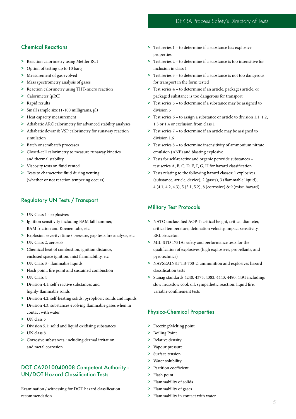#### Chemical Reactions

- > Reaction calorimetry using Mettler RC1
- > Option of testing up to 10 barg
- > Measurement of gas evolved
- > Mass spectrometry analysis of gases
- > Reaction calorimetry using THT-micro reaction
- > Calorimeter (μRC)
- > Rapid results
- > Small sample size (1-100 milligrams, μl)
- > Heat capacity measurement
- > Adiabatic ARC calorimetry for advanced stability analyses
- > Adiabatic dewar & VSP calorimetry for runaway reaction simulation
- > Batch or semibatch processes
- > Closed-cell calorimetry to measure runaway kinetics and thermal stability
- > Viscosity tests on fluid vented
- > Tests to characterise fluid during venting (whether or not reaction tempering occurs)

#### Regulatory UN Tests / Transport

- > UN Class 1 explosives
- > Ignition sensitivity including BAM fall hammer, BAM friction and Koenen tube, etc
- > Explosion severity: time / pressure, gap tests fire analysis, etc
- > UN Class 2, aerosols
- > Chemical heat of combustion, ignition distance, enclosed space ignition, mist flammability, etc
- > UN Class 3 flammable liquids
- > Flash point, fire point and sustained combustion
- > UN Class 4
- > Division 4.1: self-reactive substances and highly-flammable solids
- > Division 4.2: self-heating solids, pyrophoric solids and liquids
- > Division 4.3: substances evolving flammable gases when in contact with water
- > UN class 5
- > Division 5.1: solid and liquid oxidising substances
- > UN class 8
- > Corrosive substances, including dermal irritation and metal corrosion

#### DOT CA2010040008 Competent Authority - UN/DOT Hazard Classification Tests

Examination / witnessing for DOT hazard classification recommendation

- > Test series 1 to determine if a substance has explosive properties
- > Test series 2 to determine if a substance is too insensitive for inclusion in class 1
- > Test series 3 to determine if a substance is not too dangerous for transport in the form tested
- > Test series 4 to determine if an article, packages article, or packaged substance is too dangerous for transport
- > Test series 5 to determine if a substance may be assigned to division 5
- > Test series 6 to assign a substance or article to division 1.1, 1.2, 1.3 or 1.4 or exclusion from class 1
- > Test series 7 to determine if an article may be assigned to division 1.6
- > Test series 8 to determine insensitivity of ammonium nitrate emulsion (ANE) and blasting explosive
- > Tests for self-reactive and organic peroxide substances test series A, B, C, D, E, F, G, H for hazard classification
- > Tests relating to the following hazard classes: 1 explosives (substance, article, device), 2 (gases), 3 (flammable liquid), 4 (4.1, 4.2, 4.3), 5 (5.1, 5.2), 8 (corrosive) & 9 (misc. hazard)

#### Military Test Protocols

- > NATO unclassified AOP-7: critical height, critical diameter, critical temperature, detonation velocity, impact sensitivity, ERL Bruceton
- > MIL-STD 1751A: safety and performance tests for the qualification of explosives (high explosives, propellants, and pyrotechnics)
- > NAVSEAINST TB-700-2: ammunition and explosives hazard classification tests
- > Stanag standards 4240, 4375, 4382, 4443, 4490, 4491 including: slow heat/slow cook off, sympathetic reaction, liquid fire, variable confinement tests

#### Physico-Chemical Properties

- > Freezing/Melting point
- > Boiling Point
- > Relative density
- > Vapour pressure
- > Surface tension
- > Water solubility
- > Partition coefficient
- > Flash point
- > Flammability of solids
- > Flammability of gases
- > Flammability in contact with water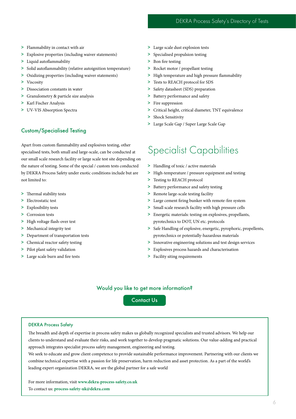- > Flammability in contact with air
- > Explosive properties (including waiver statements)
- > Liquid autoflammability
- > Solid autoflammability (relative autoignition temperature)
- > Oxidizing properties (including waiver statements)
- > Viscosity
- > Dissociation constants in water
- > Granulometry & particle size analysis
- > Karl Fischer Analysis
- > UV-VIS Absorption Spectra

### Custom/Specialised Testing

Apart from custom flammability and explosives testing, other specialised tests, both small and large-scale, can be conducted at our small scale research facility or large scale test site depending on the nature of testing. Some of the special / custom tests conducted by DEKRA Process Safety under exotic conditions include but are not limited to:

- > Thermal stability tests
- > Electrostatic test
- > Explosibility tests
- > Corrosion tests
- > High voltage flash-over test
- > Mechanical integrity test
- > Department of transportation tests
- > Chemical reactor safety testing
- > Pilot plant safety validation
- > Large scale burn and fire tests
- > Large scale dust explosion tests
- > Specialised propulsion testing
- > Bon fire testing
- > Rocket motor / propellant testing
- > High temperature and high pressure flammability
- > Tests to REACH protocol for SDS
- > Safety datasheet (SDS) preparation
- > Battery performance and safety
- > Fire suppression
- > Critical height, critical diameter, TNT equivalence
- > Shock Sensitivity
- > Large Scale Gap / Super Large Scale Gap

### Specialist Capabilities

- > Handling of toxic / active materials
- > High-temperature / pressure equipment and testing
- > Testing to REACH protocol
- > Battery performance and safety testing
- > Remote large-scale testing facility
- > Large cement firing bunker with remote-fire system
- > Small scale research facility with high pressure cells
- > Energetic materials: testing on explosives, propellants, pyrotechnics to DOT, UN etc. protocols
- > Safe Handling of explosive, energetic, pyrophoric, propellents, pyrotechnics or potentially-hazardous materials
- > Innovative engineering solutions and test design services
- > Explosives process hazards and characterisation
- > Facility siting requirements

#### Would you like to get more information?

[Contact Us](http://www.dekra-process-safety.co.uk/contact)

#### DEKRA Process Safety

The breadth and depth of expertise in process safety makes us globally recognized specialists and trusted advisors. We help our clients to understand and evaluate their risks, and work together to develop pragmatic solutions. Our value-adding and practical approach integrates specialist process safety management, engineering and testing.

We seek to educate and grow client competence to provide sustainable performance improvement. Partnering with our clients we combine technical expertise with a passion for life preservation, harm reduction and asset protection. As a part of the world's leading expert organization DEKRA, we are the global partner for a safe world

For more information, visit **[www.dekra-process-safety.co.uk](http://www.dekra-process-safety.co.uk)** To contact us: **[process-safety-uk@dekra.com](mailto:process-safety-uk%40dekra.com?subject=)**